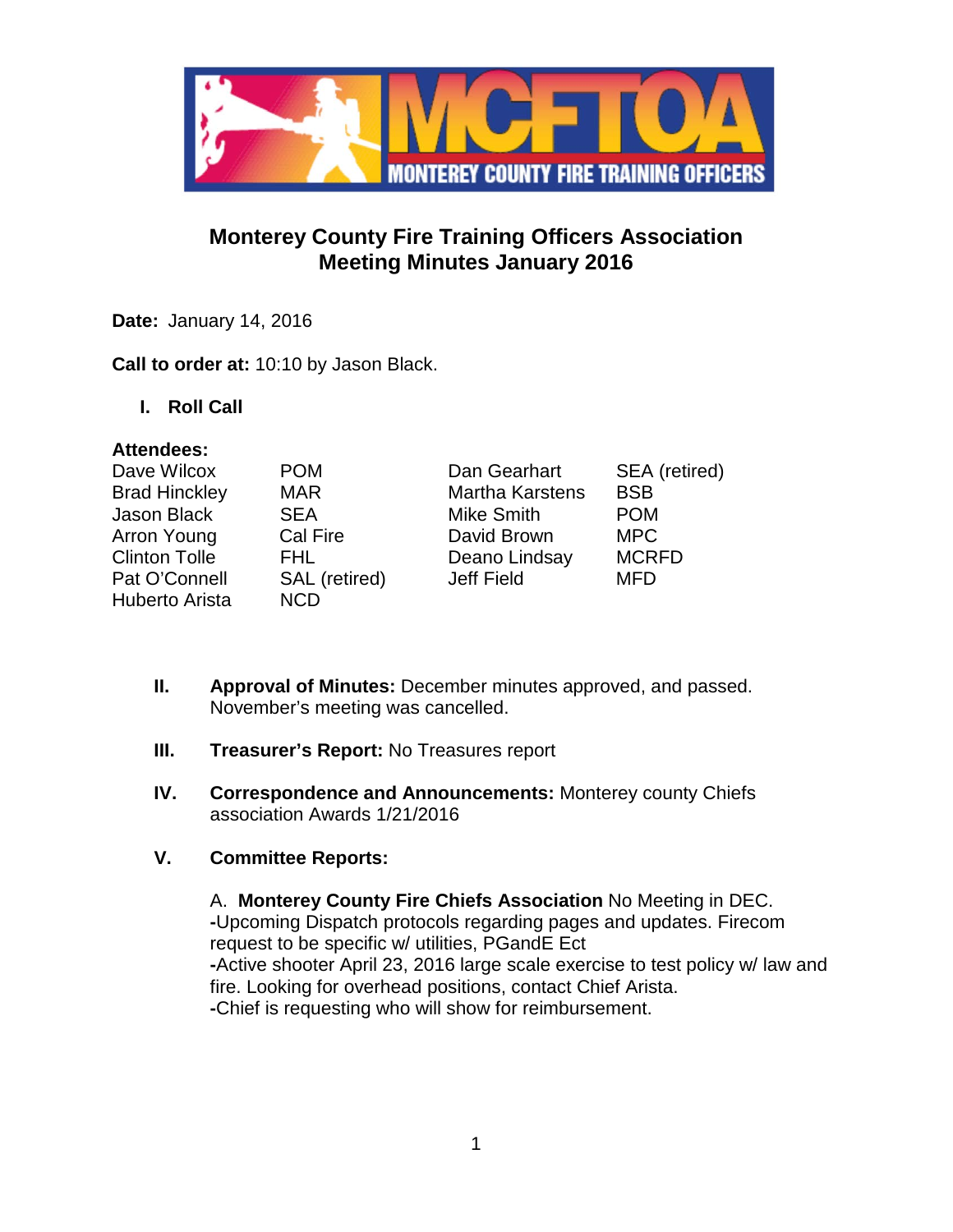

# **Monterey County Fire Training Officers Association Meeting Minutes January 2016**

**Date:** January 14, 2016

**Call to order at:** 10:10 by Jason Black.

**I. Roll Call**

#### **Attendees:**

| Dave Wilcox          | <b>POM</b>    | Dan Gearhart           | SEA (retired) |
|----------------------|---------------|------------------------|---------------|
| <b>Brad Hinckley</b> | <b>MAR</b>    | <b>Martha Karstens</b> | <b>BSB</b>    |
| Jason Black          | <b>SEA</b>    | <b>Mike Smith</b>      | <b>POM</b>    |
| Arron Young          | Cal Fire      | David Brown            | <b>MPC</b>    |
| <b>Clinton Tolle</b> | FHL.          | Deano Lindsay          | <b>MCRFD</b>  |
| Pat O'Connell        | SAL (retired) | Jeff Field             | <b>MFD</b>    |
| Huberto Arista       | <b>NCD</b>    |                        |               |

- **II. Approval of Minutes:** December minutes approved, and passed. November's meeting was cancelled.
- **III. Treasurer's Report:** No Treasures report
- **IV. Correspondence and Announcements:** Monterey county Chiefs association Awards 1/21/2016

# **V. Committee Reports:**

A. **Monterey County Fire Chiefs Association** No Meeting in DEC. **-**Upcoming Dispatch protocols regarding pages and updates. Firecom request to be specific w/ utilities, PGandE Ect **-**Active shooter April 23, 2016 large scale exercise to test policy w/ law and fire. Looking for overhead positions, contact Chief Arista. **-**Chief is requesting who will show for reimbursement.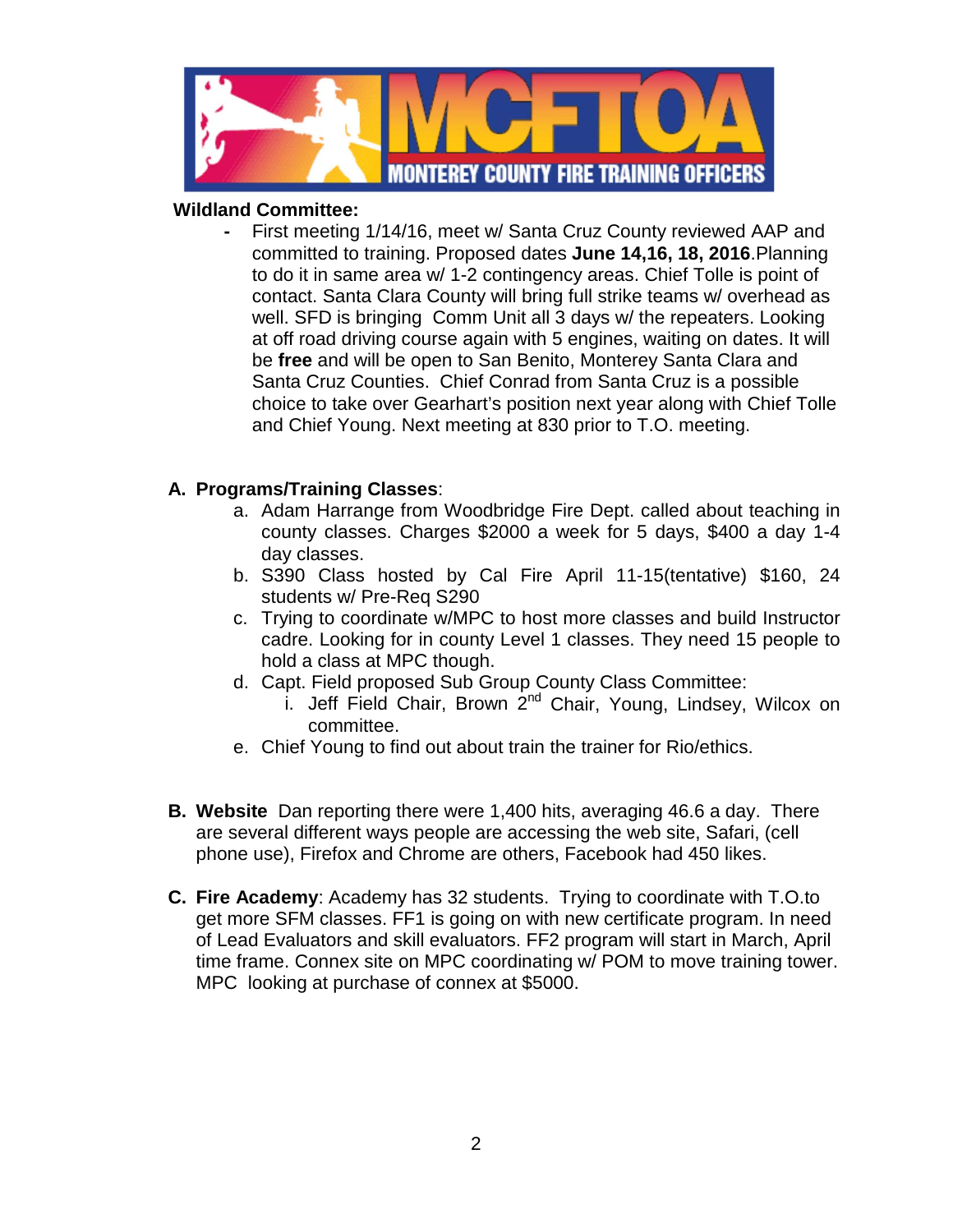

## **Wildland Committee:**

**-** First meeting 1/14/16, meet w/ Santa Cruz County reviewed AAP and committed to training. Proposed dates **June 14,16, 18, 2016**.Planning to do it in same area w/ 1-2 contingency areas. Chief Tolle is point of contact. Santa Clara County will bring full strike teams w/ overhead as well. SFD is bringing Comm Unit all 3 days w/ the repeaters. Looking at off road driving course again with 5 engines, waiting on dates. It will be **free** and will be open to San Benito, Monterey Santa Clara and Santa Cruz Counties. Chief Conrad from Santa Cruz is a possible choice to take over Gearhart's position next year along with Chief Tolle and Chief Young. Next meeting at 830 prior to T.O. meeting.

## **A. Programs/Training Classes**:

- a. Adam Harrange from Woodbridge Fire Dept. called about teaching in county classes. Charges \$2000 a week for 5 days, \$400 a day 1-4 day classes.
- b. S390 Class hosted by Cal Fire April 11-15(tentative) \$160, 24 students w/ Pre-Req S290
- c. Trying to coordinate w/MPC to host more classes and build Instructor cadre. Looking for in county Level 1 classes. They need 15 people to hold a class at MPC though.
- d. Capt. Field proposed Sub Group County Class Committee:
	- i. Jeff Field Chair, Brown  $2^{nd}$  Chair, Young, Lindsey, Wilcox on committee.
- e. Chief Young to find out about train the trainer for Rio/ethics.
- **B. Website** Dan reporting there were 1,400 hits, averaging 46.6 a day. There are several different ways people are accessing the web site, Safari, (cell phone use), Firefox and Chrome are others, Facebook had 450 likes.
- **C. Fire Academy**: Academy has 32 students. Trying to coordinate with T.O.to get more SFM classes. FF1 is going on with new certificate program. In need of Lead Evaluators and skill evaluators. FF2 program will start in March, April time frame. Connex site on MPC coordinating w/ POM to move training tower. MPC looking at purchase of connex at \$5000.